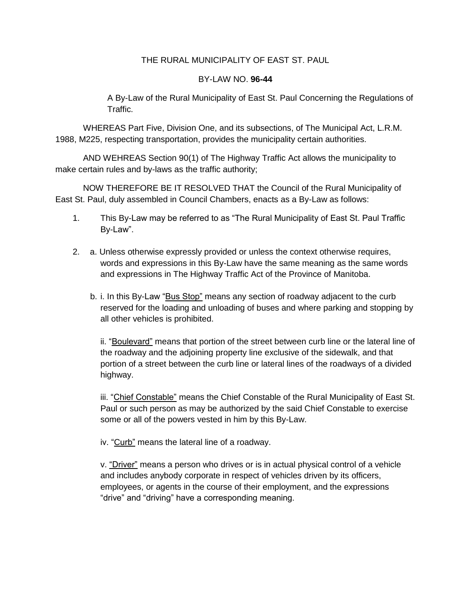#### THE RURAL MUNICIPALITY OF EAST ST. PAUL

#### BY-LAW NO. **96-44**

A By-Law of the Rural Municipality of East St. Paul Concerning the Regulations of Traffic.

WHEREAS Part Five, Division One, and its subsections, of The Municipal Act, L.R.M. 1988, M225, respecting transportation, provides the municipality certain authorities.

AND WEHREAS Section 90(1) of The Highway Traffic Act allows the municipality to make certain rules and by-laws as the traffic authority;

NOW THEREFORE BE IT RESOLVED THAT the Council of the Rural Municipality of East St. Paul, duly assembled in Council Chambers, enacts as a By-Law as follows:

- 1. This By-Law may be referred to as "The Rural Municipality of East St. Paul Traffic By-Law".
- 2. a. Unless otherwise expressly provided or unless the context otherwise requires, words and expressions in this By-Law have the same meaning as the same words and expressions in The Highway Traffic Act of the Province of Manitoba.
	- b. i. In this By-Law "Bus Stop" means any section of roadway adjacent to the curb reserved for the loading and unloading of buses and where parking and stopping by all other vehicles is prohibited.

ii. "Boulevard" means that portion of the street between curb line or the lateral line of the roadway and the adjoining property line exclusive of the sidewalk, and that portion of a street between the curb line or lateral lines of the roadways of a divided highway.

iii. "Chief Constable" means the Chief Constable of the Rural Municipality of East St. Paul or such person as may be authorized by the said Chief Constable to exercise some or all of the powers vested in him by this By-Law.

iv. "Curb" means the lateral line of a roadway.

v. "Driver" means a person who drives or is in actual physical control of a vehicle and includes anybody corporate in respect of vehicles driven by its officers, employees, or agents in the course of their employment, and the expressions "drive" and "driving" have a corresponding meaning.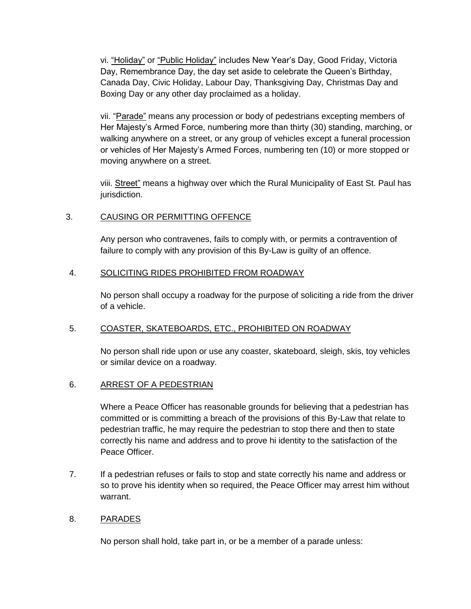vi. "Holiday" or "Public Holiday" includes New Year's Day, Good Friday, Victoria Day, Remembrance Day, the day set aside to celebrate the Queen's Birthday, Canada Day, Civic Holiday, Labour Day, Thanksgiving Day, Christmas Day and Boxing Day or any other day proclaimed as a holiday.

vii. "Parade" means any procession or body of pedestrians excepting members of Her Majesty's Armed Force, numbering more than thirty (30) standing, marching, or walking anywhere on a street, or any group of vehicles except a funeral procession or vehicles of Her Majesty's Armed Forces, numbering ten (10) or more stopped or moving anywhere on a street.

viii. Street" means a highway over which the Rural Municipality of East St. Paul has jurisdiction.

### 3. CAUSING OR PERMITTING OFFENCE

Any person who contravenes, fails to comply with, or permits a contravention of failure to comply with any provision of this By-Law is guilty of an offence.

### 4. SOLICITING RIDES PROHIBITED FROM ROADWAY

No person shall occupy a roadway for the purpose of soliciting a ride from the driver of a vehicle.

#### 5. COASTER, SKATEBOARDS, ETC., PROHIBITED ON ROADWAY

No person shall ride upon or use any coaster, skateboard, sleigh, skis, toy vehicles or similar device on a roadway.

#### 6. ARREST OF A PEDESTRIAN

Where a Peace Officer has reasonable grounds for believing that a pedestrian has committed or is committing a breach of the provisions of this By-Law that relate to pedestrian traffic, he may require the pedestrian to stop there and then to state correctly his name and address and to prove hi identity to the satisfaction of the Peace Officer.

7. If a pedestrian refuses or fails to stop and state correctly his name and address or so to prove his identity when so required, the Peace Officer may arrest him without warrant.

#### 8. PARADES

No person shall hold, take part in, or be a member of a parade unless: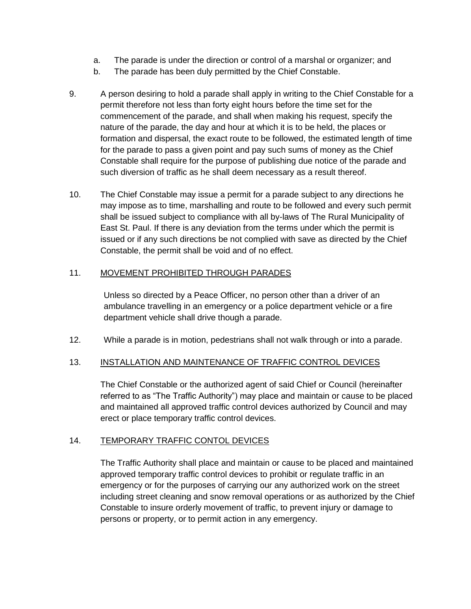- a. The parade is under the direction or control of a marshal or organizer; and
- b. The parade has been duly permitted by the Chief Constable.
- 9. A person desiring to hold a parade shall apply in writing to the Chief Constable for a permit therefore not less than forty eight hours before the time set for the commencement of the parade, and shall when making his request, specify the nature of the parade, the day and hour at which it is to be held, the places or formation and dispersal, the exact route to be followed, the estimated length of time for the parade to pass a given point and pay such sums of money as the Chief Constable shall require for the purpose of publishing due notice of the parade and such diversion of traffic as he shall deem necessary as a result thereof.
- 10. The Chief Constable may issue a permit for a parade subject to any directions he may impose as to time, marshalling and route to be followed and every such permit shall be issued subject to compliance with all by-laws of The Rural Municipality of East St. Paul. If there is any deviation from the terms under which the permit is issued or if any such directions be not complied with save as directed by the Chief Constable, the permit shall be void and of no effect.

### 11. MOVEMENT PROHIBITED THROUGH PARADES

Unless so directed by a Peace Officer, no person other than a driver of an ambulance travelling in an emergency or a police department vehicle or a fire department vehicle shall drive though a parade.

12. While a parade is in motion, pedestrians shall not walk through or into a parade.

# 13. INSTALLATION AND MAINTENANCE OF TRAFFIC CONTROL DEVICES

The Chief Constable or the authorized agent of said Chief or Council (hereinafter referred to as "The Traffic Authority") may place and maintain or cause to be placed and maintained all approved traffic control devices authorized by Council and may erect or place temporary traffic control devices.

#### 14. TEMPORARY TRAFFIC CONTOL DEVICES

The Traffic Authority shall place and maintain or cause to be placed and maintained approved temporary traffic control devices to prohibit or regulate traffic in an emergency or for the purposes of carrying our any authorized work on the street including street cleaning and snow removal operations or as authorized by the Chief Constable to insure orderly movement of traffic, to prevent injury or damage to persons or property, or to permit action in any emergency.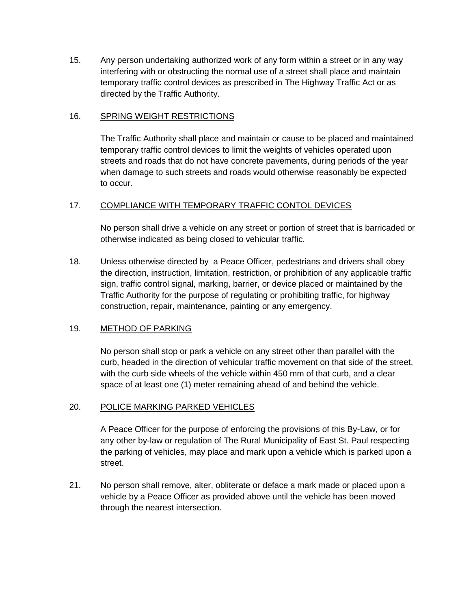15. Any person undertaking authorized work of any form within a street or in any way interfering with or obstructing the normal use of a street shall place and maintain temporary traffic control devices as prescribed in The Highway Traffic Act or as directed by the Traffic Authority.

### 16. SPRING WEIGHT RESTRICTIONS

The Traffic Authority shall place and maintain or cause to be placed and maintained temporary traffic control devices to limit the weights of vehicles operated upon streets and roads that do not have concrete pavements, during periods of the year when damage to such streets and roads would otherwise reasonably be expected to occur.

### 17. COMPLIANCE WITH TEMPORARY TRAFFIC CONTOL DEVICES

No person shall drive a vehicle on any street or portion of street that is barricaded or otherwise indicated as being closed to vehicular traffic.

18. Unless otherwise directed by a Peace Officer, pedestrians and drivers shall obey the direction, instruction, limitation, restriction, or prohibition of any applicable traffic sign, traffic control signal, marking, barrier, or device placed or maintained by the Traffic Authority for the purpose of regulating or prohibiting traffic, for highway construction, repair, maintenance, painting or any emergency.

# 19. METHOD OF PARKING

No person shall stop or park a vehicle on any street other than parallel with the curb, headed in the direction of vehicular traffic movement on that side of the street, with the curb side wheels of the vehicle within 450 mm of that curb, and a clear space of at least one (1) meter remaining ahead of and behind the vehicle.

#### 20. POLICE MARKING PARKED VEHICLES

A Peace Officer for the purpose of enforcing the provisions of this By-Law, or for any other by-law or regulation of The Rural Municipality of East St. Paul respecting the parking of vehicles, may place and mark upon a vehicle which is parked upon a street.

21. No person shall remove, alter, obliterate or deface a mark made or placed upon a vehicle by a Peace Officer as provided above until the vehicle has been moved through the nearest intersection.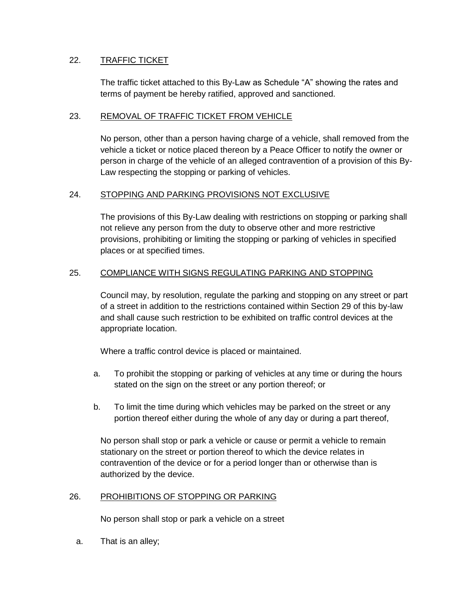### 22. TRAFFIC TICKET

The traffic ticket attached to this By-Law as Schedule "A" showing the rates and terms of payment be hereby ratified, approved and sanctioned.

### 23. REMOVAL OF TRAFFIC TICKET FROM VEHICLE

No person, other than a person having charge of a vehicle, shall removed from the vehicle a ticket or notice placed thereon by a Peace Officer to notify the owner or person in charge of the vehicle of an alleged contravention of a provision of this By-Law respecting the stopping or parking of vehicles.

### 24. STOPPING AND PARKING PROVISIONS NOT EXCLUSIVE

The provisions of this By-Law dealing with restrictions on stopping or parking shall not relieve any person from the duty to observe other and more restrictive provisions, prohibiting or limiting the stopping or parking of vehicles in specified places or at specified times.

### 25. COMPLIANCE WITH SIGNS REGULATING PARKING AND STOPPING

Council may, by resolution, regulate the parking and stopping on any street or part of a street in addition to the restrictions contained within Section 29 of this by-law and shall cause such restriction to be exhibited on traffic control devices at the appropriate location.

Where a traffic control device is placed or maintained.

- a. To prohibit the stopping or parking of vehicles at any time or during the hours stated on the sign on the street or any portion thereof; or
- b. To limit the time during which vehicles may be parked on the street or any portion thereof either during the whole of any day or during a part thereof,

No person shall stop or park a vehicle or cause or permit a vehicle to remain stationary on the street or portion thereof to which the device relates in contravention of the device or for a period longer than or otherwise than is authorized by the device.

#### 26. PROHIBITIONS OF STOPPING OR PARKING

No person shall stop or park a vehicle on a street

a. That is an alley;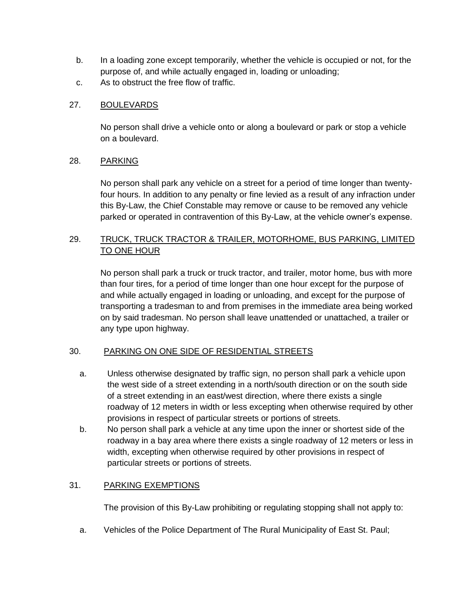- b. In a loading zone except temporarily, whether the vehicle is occupied or not, for the purpose of, and while actually engaged in, loading or unloading;
- c. As to obstruct the free flow of traffic.

### 27. BOULEVARDS

No person shall drive a vehicle onto or along a boulevard or park or stop a vehicle on a boulevard.

#### 28. PARKING

No person shall park any vehicle on a street for a period of time longer than twentyfour hours. In addition to any penalty or fine levied as a result of any infraction under this By-Law, the Chief Constable may remove or cause to be removed any vehicle parked or operated in contravention of this By-Law, at the vehicle owner's expense.

### 29. TRUCK, TRUCK TRACTOR & TRAILER, MOTORHOME, BUS PARKING, LIMITED TO ONE HOUR

No person shall park a truck or truck tractor, and trailer, motor home, bus with more than four tires, for a period of time longer than one hour except for the purpose of and while actually engaged in loading or unloading, and except for the purpose of transporting a tradesman to and from premises in the immediate area being worked on by said tradesman. No person shall leave unattended or unattached, a trailer or any type upon highway.

# 30. PARKING ON ONE SIDE OF RESIDENTIAL STREETS

- a. Unless otherwise designated by traffic sign, no person shall park a vehicle upon the west side of a street extending in a north/south direction or on the south side of a street extending in an east/west direction, where there exists a single roadway of 12 meters in width or less excepting when otherwise required by other provisions in respect of particular streets or portions of streets.
- b. No person shall park a vehicle at any time upon the inner or shortest side of the roadway in a bay area where there exists a single roadway of 12 meters or less in width, excepting when otherwise required by other provisions in respect of particular streets or portions of streets.

# 31. PARKING EXEMPTIONS

The provision of this By-Law prohibiting or regulating stopping shall not apply to:

a. Vehicles of the Police Department of The Rural Municipality of East St. Paul;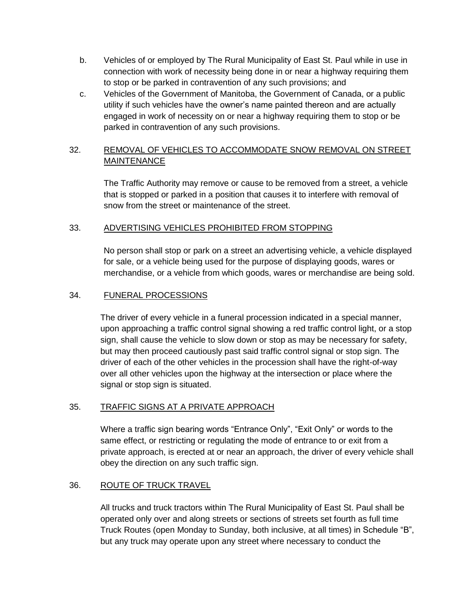- b. Vehicles of or employed by The Rural Municipality of East St. Paul while in use in connection with work of necessity being done in or near a highway requiring them to stop or be parked in contravention of any such provisions; and
- c. Vehicles of the Government of Manitoba, the Government of Canada, or a public utility if such vehicles have the owner's name painted thereon and are actually engaged in work of necessity on or near a highway requiring them to stop or be parked in contravention of any such provisions.

# 32. REMOVAL OF VEHICLES TO ACCOMMODATE SNOW REMOVAL ON STREET **MAINTENANCE**

The Traffic Authority may remove or cause to be removed from a street, a vehicle that is stopped or parked in a position that causes it to interfere with removal of snow from the street or maintenance of the street.

### 33. ADVERTISING VEHICLES PROHIBITED FROM STOPPING

No person shall stop or park on a street an advertising vehicle, a vehicle displayed for sale, or a vehicle being used for the purpose of displaying goods, wares or merchandise, or a vehicle from which goods, wares or merchandise are being sold.

### 34. FUNERAL PROCESSIONS

The driver of every vehicle in a funeral procession indicated in a special manner, upon approaching a traffic control signal showing a red traffic control light, or a stop sign, shall cause the vehicle to slow down or stop as may be necessary for safety, but may then proceed cautiously past said traffic control signal or stop sign. The driver of each of the other vehicles in the procession shall have the right-of-way over all other vehicles upon the highway at the intersection or place where the signal or stop sign is situated.

# 35. TRAFFIC SIGNS AT A PRIVATE APPROACH

Where a traffic sign bearing words "Entrance Only", "Exit Only" or words to the same effect, or restricting or regulating the mode of entrance to or exit from a private approach, is erected at or near an approach, the driver of every vehicle shall obey the direction on any such traffic sign.

# 36. ROUTE OF TRUCK TRAVEL

All trucks and truck tractors within The Rural Municipality of East St. Paul shall be operated only over and along streets or sections of streets set fourth as full time Truck Routes (open Monday to Sunday, both inclusive, at all times) in Schedule "B", but any truck may operate upon any street where necessary to conduct the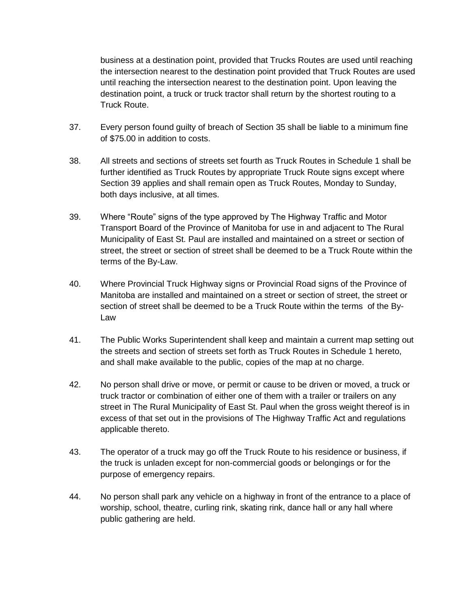business at a destination point, provided that Trucks Routes are used until reaching the intersection nearest to the destination point provided that Truck Routes are used until reaching the intersection nearest to the destination point. Upon leaving the destination point, a truck or truck tractor shall return by the shortest routing to a Truck Route.

- 37. Every person found guilty of breach of Section 35 shall be liable to a minimum fine of \$75.00 in addition to costs.
- 38. All streets and sections of streets set fourth as Truck Routes in Schedule 1 shall be further identified as Truck Routes by appropriate Truck Route signs except where Section 39 applies and shall remain open as Truck Routes, Monday to Sunday, both days inclusive, at all times.
- 39. Where "Route" signs of the type approved by The Highway Traffic and Motor Transport Board of the Province of Manitoba for use in and adjacent to The Rural Municipality of East St. Paul are installed and maintained on a street or section of street, the street or section of street shall be deemed to be a Truck Route within the terms of the By-Law.
- 40. Where Provincial Truck Highway signs or Provincial Road signs of the Province of Manitoba are installed and maintained on a street or section of street, the street or section of street shall be deemed to be a Truck Route within the terms of the By-Law
- 41. The Public Works Superintendent shall keep and maintain a current map setting out the streets and section of streets set forth as Truck Routes in Schedule 1 hereto, and shall make available to the public, copies of the map at no charge.
- 42. No person shall drive or move, or permit or cause to be driven or moved, a truck or truck tractor or combination of either one of them with a trailer or trailers on any street in The Rural Municipality of East St. Paul when the gross weight thereof is in excess of that set out in the provisions of The Highway Traffic Act and regulations applicable thereto.
- 43. The operator of a truck may go off the Truck Route to his residence or business, if the truck is unladen except for non-commercial goods or belongings or for the purpose of emergency repairs.
- 44. No person shall park any vehicle on a highway in front of the entrance to a place of worship, school, theatre, curling rink, skating rink, dance hall or any hall where public gathering are held.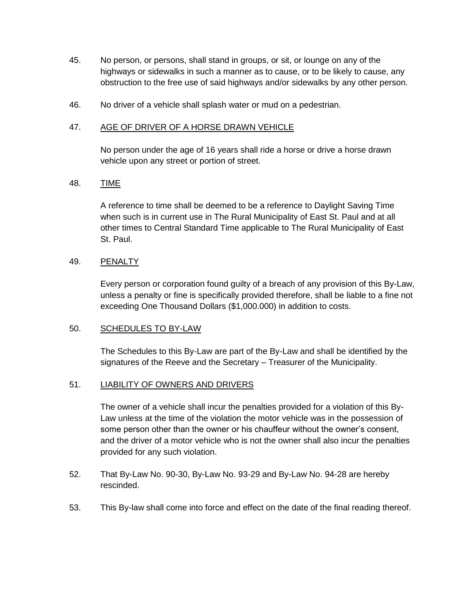- 45. No person, or persons, shall stand in groups, or sit, or lounge on any of the highways or sidewalks in such a manner as to cause, or to be likely to cause, any obstruction to the free use of said highways and/or sidewalks by any other person.
- 46. No driver of a vehicle shall splash water or mud on a pedestrian.

### 47. AGE OF DRIVER OF A HORSE DRAWN VEHICLE

No person under the age of 16 years shall ride a horse or drive a horse drawn vehicle upon any street or portion of street.

# 48. TIME

A reference to time shall be deemed to be a reference to Daylight Saving Time when such is in current use in The Rural Municipality of East St. Paul and at all other times to Central Standard Time applicable to The Rural Municipality of East St. Paul.

### 49. PENALTY

Every person or corporation found guilty of a breach of any provision of this By-Law, unless a penalty or fine is specifically provided therefore, shall be liable to a fine not exceeding One Thousand Dollars (\$1,000.000) in addition to costs.

#### 50. SCHEDULES TO BY-LAW

The Schedules to this By-Law are part of the By-Law and shall be identified by the signatures of the Reeve and the Secretary – Treasurer of the Municipality.

# 51. LIABILITY OF OWNERS AND DRIVERS

The owner of a vehicle shall incur the penalties provided for a violation of this By-Law unless at the time of the violation the motor vehicle was in the possession of some person other than the owner or his chauffeur without the owner's consent, and the driver of a motor vehicle who is not the owner shall also incur the penalties provided for any such violation.

- 52. That By-Law No. 90-30, By-Law No. 93-29 and By-Law No. 94-28 are hereby rescinded.
- 53. This By-law shall come into force and effect on the date of the final reading thereof.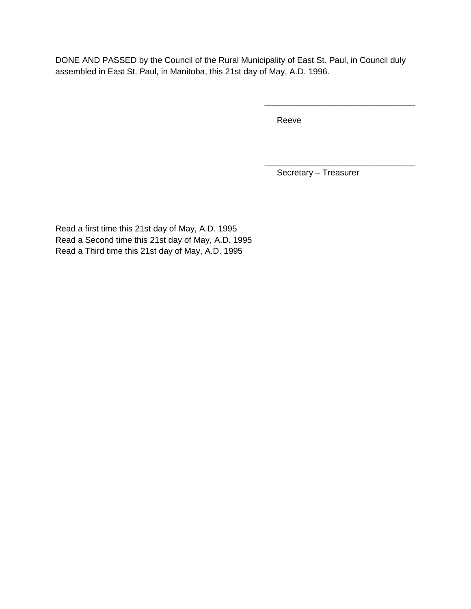DONE AND PASSED by the Council of the Rural Municipality of East St. Paul, in Council duly assembled in East St. Paul, in Manitoba, this 21st day of May, A.D. 1996.

Reeve

Secretary – Treasurer

\_\_\_\_\_\_\_\_\_\_\_\_\_\_\_\_\_\_\_\_\_\_\_\_\_\_\_\_\_\_\_\_

\_\_\_\_\_\_\_\_\_\_\_\_\_\_\_\_\_\_\_\_\_\_\_\_\_\_\_\_\_\_\_\_

Read a first time this 21st day of May, A.D. 1995 Read a Second time this 21st day of May, A.D. 1995 Read a Third time this 21st day of May, A.D. 1995